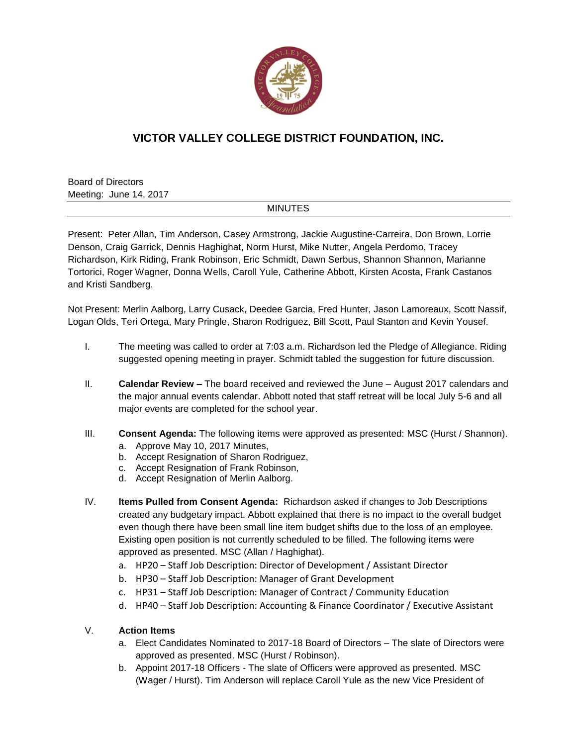

# **VICTOR VALLEY COLLEGE DISTRICT FOUNDATION, INC.**

Board of Directors Meeting: June 14, 2017

### **MINUTES**

Present: Peter Allan, Tim Anderson, Casey Armstrong, Jackie Augustine-Carreira, Don Brown, Lorrie Denson, Craig Garrick, Dennis Haghighat, Norm Hurst, Mike Nutter, Angela Perdomo, Tracey Richardson, Kirk Riding, Frank Robinson, Eric Schmidt, Dawn Serbus, Shannon Shannon, Marianne Tortorici, Roger Wagner, Donna Wells, Caroll Yule, Catherine Abbott, Kirsten Acosta, Frank Castanos and Kristi Sandberg.

Not Present: Merlin Aalborg, Larry Cusack, Deedee Garcia, Fred Hunter, Jason Lamoreaux, Scott Nassif, Logan Olds, Teri Ortega, Mary Pringle, Sharon Rodriguez, Bill Scott, Paul Stanton and Kevin Yousef.

- I. The meeting was called to order at 7:03 a.m. Richardson led the Pledge of Allegiance. Riding suggested opening meeting in prayer. Schmidt tabled the suggestion for future discussion.
- II. **Calendar Review –** The board received and reviewed the June August 2017 calendars and the major annual events calendar. Abbott noted that staff retreat will be local July 5-6 and all major events are completed for the school year.
- III. **Consent Agenda:** The following items were approved as presented: MSC (Hurst / Shannon).
	- a. Approve May 10, 2017 Minutes,
	- b. Accept Resignation of Sharon Rodriguez,
	- c. Accept Resignation of Frank Robinson,
	- d. Accept Resignation of Merlin Aalborg.
- IV. **Items Pulled from Consent Agenda:** Richardson asked if changes to Job Descriptions created any budgetary impact. Abbott explained that there is no impact to the overall budget even though there have been small line item budget shifts due to the loss of an employee. Existing open position is not currently scheduled to be filled. The following items were approved as presented. MSC (Allan / Haghighat).
	- a. HP20 Staff Job Description: Director of Development / Assistant Director
	- b. HP30 Staff Job Description: Manager of Grant Development
	- c. HP31 Staff Job Description: Manager of Contract / Community Education
	- d. HP40 Staff Job Description: Accounting & Finance Coordinator / Executive Assistant

## V. **Action Items**

- a. Elect Candidates Nominated to 2017-18 Board of Directors The slate of Directors were approved as presented. MSC (Hurst / Robinson).
- b. Appoint 2017-18 Officers The slate of Officers were approved as presented. MSC (Wager / Hurst). Tim Anderson will replace Caroll Yule as the new Vice President of